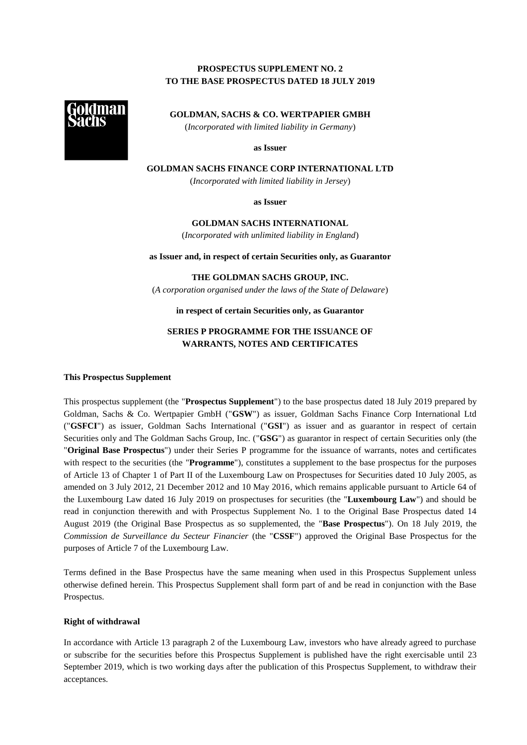# **PROSPECTUS SUPPLEMENT NO. 2 TO THE BASE PROSPECTUS DATED 18 JULY 2019**



**GOLDMAN, SACHS & CO. WERTPAPIER GMBH** (*Incorporated with limited liability in Germany*)

**as Issuer**

**GOLDMAN SACHS FINANCE CORP INTERNATIONAL LTD**

(*Incorporated with limited liability in Jersey*)

**as Issuer**

**GOLDMAN SACHS INTERNATIONAL** (*Incorporated with unlimited liability in England*)

**as Issuer and, in respect of certain Securities only, as Guarantor**

**THE GOLDMAN SACHS GROUP, INC.**

(*A corporation organised under the laws of the State of Delaware*)

**in respect of certain Securities only, as Guarantor**

# **SERIES P PROGRAMME FOR THE ISSUANCE OF WARRANTS, NOTES AND CERTIFICATES**

#### **This Prospectus Supplement**

This prospectus supplement (the "**Prospectus Supplement**") to the base prospectus dated 18 July 2019 prepared by Goldman, Sachs & Co. Wertpapier GmbH ("**GSW**") as issuer, Goldman Sachs Finance Corp International Ltd ("**GSFCI**") as issuer, Goldman Sachs International ("**GSI**") as issuer and as guarantor in respect of certain Securities only and The Goldman Sachs Group, Inc. ("**GSG**") as guarantor in respect of certain Securities only (the "**Original Base Prospectus**") under their Series P programme for the issuance of warrants, notes and certificates with respect to the securities (the "**Programme**"), constitutes a supplement to the base prospectus for the purposes of Article 13 of Chapter 1 of Part II of the Luxembourg Law on Prospectuses for Securities dated 10 July 2005, as amended on 3 July 2012, 21 December 2012 and 10 May 2016, which remains applicable pursuant to Article 64 of the Luxembourg Law dated 16 July 2019 on prospectuses for securities (the "**Luxembourg Law**") and should be read in conjunction therewith and with Prospectus Supplement No. 1 to the Original Base Prospectus dated 14 August 2019 (the Original Base Prospectus as so supplemented, the "**Base Prospectus**"). On 18 July 2019, the *Commission de Surveillance du Secteur Financier* (the "**CSSF**") approved the Original Base Prospectus for the purposes of Article 7 of the Luxembourg Law.

Terms defined in the Base Prospectus have the same meaning when used in this Prospectus Supplement unless otherwise defined herein. This Prospectus Supplement shall form part of and be read in conjunction with the Base Prospectus.

## **Right of withdrawal**

In accordance with Article 13 paragraph 2 of the Luxembourg Law, investors who have already agreed to purchase or subscribe for the securities before this Prospectus Supplement is published have the right exercisable until 23 September 2019, which is two working days after the publication of this Prospectus Supplement, to withdraw their acceptances.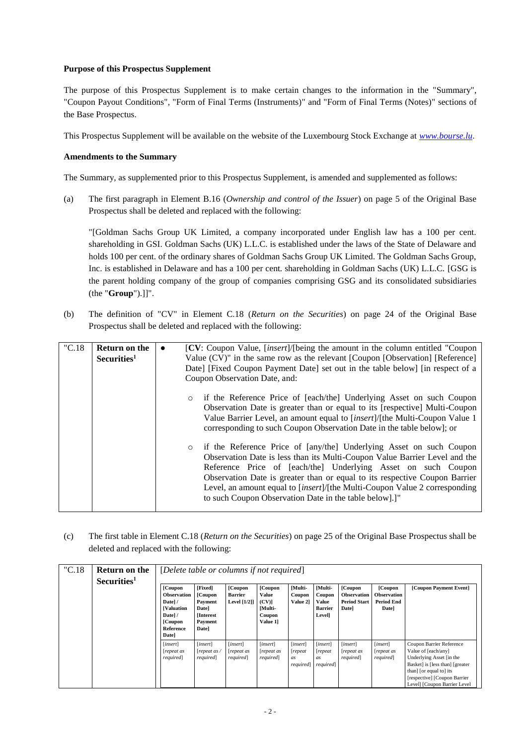# **Purpose of this Prospectus Supplement**

The purpose of this Prospectus Supplement is to make certain changes to the information in the "Summary", "Coupon Payout Conditions", "Form of Final Terms (Instruments)" and "Form of Final Terms (Notes)" sections of the Base Prospectus.

This Prospectus Supplement will be available on the website of the Luxembourg Stock Exchange at *www.bourse.lu*.

## **Amendments to the Summary**

The Summary, as supplemented prior to this Prospectus Supplement, is amended and supplemented as follows:

(a) The first paragraph in Element B.16 (*Ownership and control of the Issuer*) on page 5 of the Original Base Prospectus shall be deleted and replaced with the following:

"[Goldman Sachs Group UK Limited, a company incorporated under English law has a 100 per cent. shareholding in GSI. Goldman Sachs (UK) L.L.C. is established under the laws of the State of Delaware and holds 100 per cent. of the ordinary shares of Goldman Sachs Group UK Limited. The Goldman Sachs Group, Inc. is established in Delaware and has a 100 per cent. shareholding in Goldman Sachs (UK) L.L.C. [GSG is the parent holding company of the group of companies comprising GSG and its consolidated subsidiaries (the "**Group**").]]".

(b) The definition of "CV" in Element C.18 (*Return on the Securities*) on page 24 of the Original Base Prospectus shall be deleted and replaced with the following:

| "C.18" | <b>Return on the</b><br>Securities <sup>1</sup> | $\bullet$ | [CV: Coupon Value, [insert]/[being the amount in the column entitled "Coupon"<br>Value (CV)" in the same row as the relevant [Coupon [Observation] [Reference]<br>Date] [Fixed Coupon Payment Date] set out in the table below] [in respect of a<br>Coupon Observation Date, and:                                                                                                                                                          |
|--------|-------------------------------------------------|-----------|--------------------------------------------------------------------------------------------------------------------------------------------------------------------------------------------------------------------------------------------------------------------------------------------------------------------------------------------------------------------------------------------------------------------------------------------|
|        |                                                 |           | $\circ$ if the Reference Price of [each/the] Underlying Asset on such Coupon<br>Observation Date is greater than or equal to its [respective] Multi-Coupon<br>Value Barrier Level, an amount equal to [insert]/[the Multi-Coupon Value 1<br>corresponding to such Coupon Observation Date in the table below]; or                                                                                                                          |
|        |                                                 |           | o if the Reference Price of [any/the] Underlying Asset on such Coupon<br>Observation Date is less than its Multi-Coupon Value Barrier Level and the<br>Reference Price of [each/the] Underlying Asset on such Coupon<br>Observation Date is greater than or equal to its respective Coupon Barrier<br>Level, an amount equal to [insert]/[the Multi-Coupon Value 2 corresponding<br>to such Coupon Observation Date in the table below].]" |

(c) The first table in Element C.18 (*Return on the Securities*) on page 25 of the Original Base Prospectus shall be deleted and replaced with the following:

| "C.18" | Return on the<br>Securities <sup>1</sup> | [Delete table or columns if not required]<br>[Coupon]<br><b>Observation</b><br>Date]/<br><b>[Valuation</b><br>Date]/ | [Fixed]<br>[Coupon]<br>Payment<br>Date]<br>[Interest] | [Coupon<br><b>Barrier</b><br>Level [1/2]] | [Coupon<br>Value<br>(CV)<br>[Multi-<br>Coupon | [Multi-<br>Coupon<br>Value 21                | [Multi-<br>Coupon<br>Value<br><b>Barrier</b><br><b>Level</b> | [Coupon<br><b>Observation</b><br><b>Period Start</b><br>Date] | [Coupon]<br>Observation<br>Period End<br>Date] | [Coupon Payment Event]                                                                                                                                                                                     |
|--------|------------------------------------------|----------------------------------------------------------------------------------------------------------------------|-------------------------------------------------------|-------------------------------------------|-----------------------------------------------|----------------------------------------------|--------------------------------------------------------------|---------------------------------------------------------------|------------------------------------------------|------------------------------------------------------------------------------------------------------------------------------------------------------------------------------------------------------------|
|        |                                          | [insert]<br>repeat as<br><i>required</i>                                                                             | [insert]<br>[repeat as<br>required                    | [insert]<br>repeat as<br><i>required</i>  | [insert]<br>repeat as<br><i>required</i>      | [insert]<br>[repeat<br>as<br><i>required</i> | [insert]<br>[repeat<br>as<br><i>required</i>                 | [insert]<br>repeat as<br><i>required</i>                      | [insert]<br>repeat as<br>required]             | Coupon Barrier Reference<br>Value of [each/any]<br>Underlying Asset [in the<br>Basket] is [less than] [greater]<br>than] [or equal to] its<br>[respective] [Coupon Barrier<br>Level] [Coupon Barrier Level |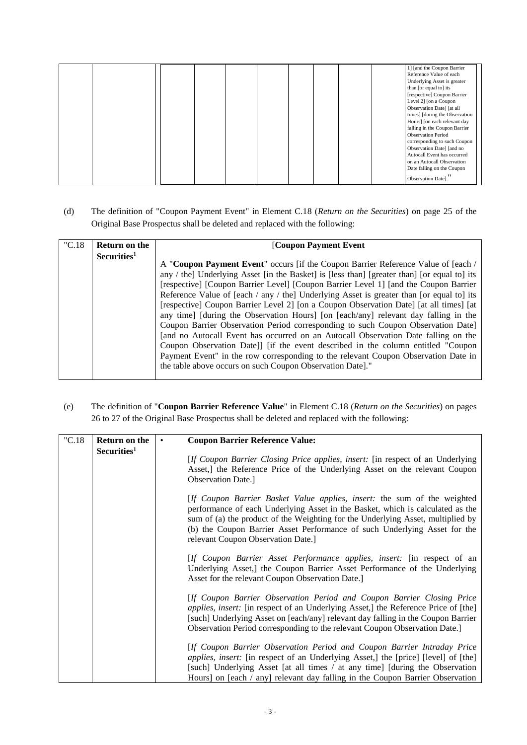|  |  | 1] [and the Coupon Barrier<br>Reference Value of each<br>Underlying Asset is greater<br>than [or equal to] its<br>[respective] Coupon Barrier<br>Level 2] [on a Coupon<br>Observation Date] [at all<br>times] [during the Observation<br>Hours] [on each relevant day<br>falling in the Coupon Barrier<br><b>Observation Period</b><br>corresponding to such Coupon<br>Observation Date] [and no<br>Autocall Event has occurred<br>on an Autocall Observation<br>Date falling on the Coupon |
|--|--|---------------------------------------------------------------------------------------------------------------------------------------------------------------------------------------------------------------------------------------------------------------------------------------------------------------------------------------------------------------------------------------------------------------------------------------------------------------------------------------------|
|  |  | Observation Date]."                                                                                                                                                                                                                                                                                                                                                                                                                                                                         |

(d) The definition of "Coupon Payment Event" in Element C.18 (*Return on the Securities*) on page 25 of the Original Base Prospectus shall be deleted and replaced with the following:

| "C.18" | Return on the           | [Coupon Payment Event                                                                       |
|--------|-------------------------|---------------------------------------------------------------------------------------------|
|        | Securities <sup>1</sup> |                                                                                             |
|        |                         | A "Coupon Payment Event" occurs [if the Coupon Barrier Reference Value of [each /           |
|        |                         | any / the] Underlying Asset [in the Basket] is [less than] [greater than] [or equal to] its |
|        |                         | [respective] [Coupon Barrier Level] [Coupon Barrier Level 1] [and the Coupon Barrier        |
|        |                         | Reference Value of [each / any / the] Underlying Asset is greater than [or equal to] its    |
|        |                         | [respective] Coupon Barrier Level 2] [on a Coupon Observation Date] [at all times] [at      |
|        |                         | any time] [during the Observation Hours] [on [each/any] relevant day falling in the         |
|        |                         | Coupon Barrier Observation Period corresponding to such Coupon Observation Date             |
|        |                         | [and no Autocall Event has occurred on an Autocall Observation Date falling on the          |
|        |                         | Coupon Observation Date]] [if the event described in the column entitled "Coupon"           |
|        |                         | Payment Event" in the row corresponding to the relevant Coupon Observation Date in          |
|        |                         | the table above occurs on such Coupon Observation Date]."                                   |
|        |                         |                                                                                             |

(e) The definition of "**Coupon Barrier Reference Value**" in Element C.18 (*Return on the Securities*) on pages 26 to 27 of the Original Base Prospectus shall be deleted and replaced with the following:

| "C.18" | Return on the           | <b>Coupon Barrier Reference Value:</b>                                                                                                                                                                                                                                                                                                                           |
|--------|-------------------------|------------------------------------------------------------------------------------------------------------------------------------------------------------------------------------------------------------------------------------------------------------------------------------------------------------------------------------------------------------------|
|        | Securities <sup>1</sup> | [If Coupon Barrier Closing Price applies, insert: [in respect of an Underlying]<br>Asset, I the Reference Price of the Underlying Asset on the relevant Coupon<br><b>Observation Date.</b> ]                                                                                                                                                                     |
|        |                         | [If Coupon Barrier Basket Value applies, insert: the sum of the weighted<br>performance of each Underlying Asset in the Basket, which is calculated as the<br>sum of (a) the product of the Weighting for the Underlying Asset, multiplied by<br>(b) the Coupon Barrier Asset Performance of such Underlying Asset for the<br>relevant Coupon Observation Date.] |
|        |                         | [If Coupon Barrier Asset Performance applies, insert: [in respect of an<br>Underlying Asset,] the Coupon Barrier Asset Performance of the Underlying<br>Asset for the relevant Coupon Observation Date.]                                                                                                                                                         |
|        |                         | [If Coupon Barrier Observation Period and Coupon Barrier Closing Price<br>applies, insert: [in respect of an Underlying Asset,] the Reference Price of [the]<br>[such] Underlying Asset on [each/any] relevant day falling in the Coupon Barrier<br>Observation Period corresponding to the relevant Coupon Observation Date.                                    |
|        |                         | [If Coupon Barrier Observation Period and Coupon Barrier Intraday Price<br>applies, insert: [in respect of an Underlying Asset,] the [price] [level] of [the]<br>[such] Underlying Asset [at all times / at any time] [during the Observation<br>Hours] on [each / any] relevant day falling in the Coupon Barrier Observation                                   |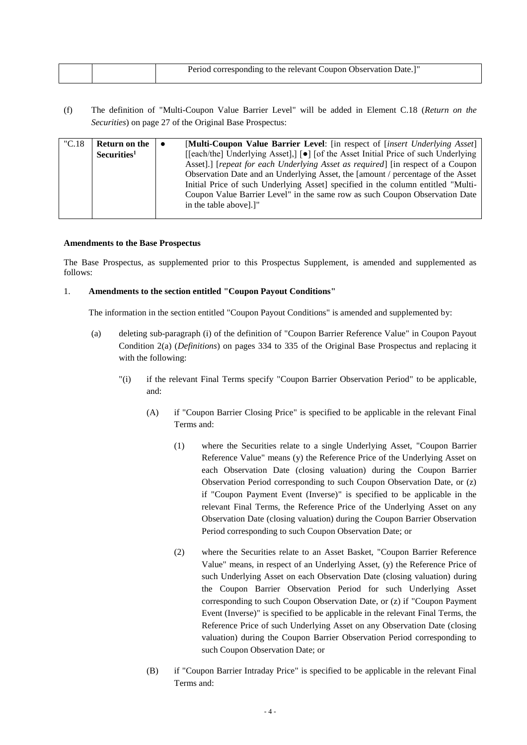|  | Period corresponding to the relevant Coupon Observation Date.]" |
|--|-----------------------------------------------------------------|
|  |                                                                 |

(f) The definition of "Multi-Coupon Value Barrier Level" will be added in Element C.18 (*Return on the Securities*) on page 27 of the Original Base Prospectus:

| "C.18" | Return on the           | $\bullet$ | [Multi-Coupon Value Barrier Level: [in respect of <i>[insert Underlying Asset]</i> |
|--------|-------------------------|-----------|------------------------------------------------------------------------------------|
|        | Securities <sup>1</sup> |           | [[each/the] Underlying Asset],] [●] [of the Asset Initial Price of such Underlying |
|        |                         |           | Asset].] [repeat for each Underlying Asset as required] [in respect of a Coupon    |
|        |                         |           | Observation Date and an Underlying Asset, the [amount / percentage of the Asset    |
|        |                         |           | Initial Price of such Underlying Asset] specified in the column entitled "Multi-   |
|        |                         |           | Coupon Value Barrier Level" in the same row as such Coupon Observation Date        |
|        |                         |           | in the table above.                                                                |
|        |                         |           |                                                                                    |

## **Amendments to the Base Prospectus**

The Base Prospectus, as supplemented prior to this Prospectus Supplement, is amended and supplemented as follows:

## 1. **Amendments to the section entitled "Coupon Payout Conditions"**

The information in the section entitled "Coupon Payout Conditions" is amended and supplemented by:

- (a) deleting sub-paragraph (i) of the definition of "Coupon Barrier Reference Value" in Coupon Payout Condition 2(a) (*Definitions*) on pages 334 to 335 of the Original Base Prospectus and replacing it with the following:
	- "(i) if the relevant Final Terms specify "Coupon Barrier Observation Period" to be applicable, and:
		- (A) if "Coupon Barrier Closing Price" is specified to be applicable in the relevant Final Terms and:
			- (1) where the Securities relate to a single Underlying Asset, "Coupon Barrier Reference Value" means (y) the Reference Price of the Underlying Asset on each Observation Date (closing valuation) during the Coupon Barrier Observation Period corresponding to such Coupon Observation Date, or (z) if "Coupon Payment Event (Inverse)" is specified to be applicable in the relevant Final Terms, the Reference Price of the Underlying Asset on any Observation Date (closing valuation) during the Coupon Barrier Observation Period corresponding to such Coupon Observation Date; or
			- (2) where the Securities relate to an Asset Basket, "Coupon Barrier Reference Value" means, in respect of an Underlying Asset, (y) the Reference Price of such Underlying Asset on each Observation Date (closing valuation) during the Coupon Barrier Observation Period for such Underlying Asset corresponding to such Coupon Observation Date, or (z) if "Coupon Payment Event (Inverse)" is specified to be applicable in the relevant Final Terms, the Reference Price of such Underlying Asset on any Observation Date (closing valuation) during the Coupon Barrier Observation Period corresponding to such Coupon Observation Date; or
		- (B) if "Coupon Barrier Intraday Price" is specified to be applicable in the relevant Final Terms and: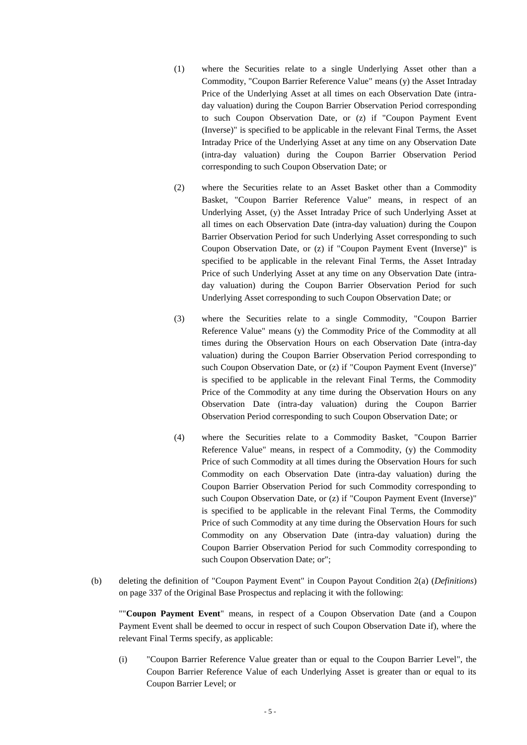- (1) where the Securities relate to a single Underlying Asset other than a Commodity, "Coupon Barrier Reference Value" means (y) the Asset Intraday Price of the Underlying Asset at all times on each Observation Date (intraday valuation) during the Coupon Barrier Observation Period corresponding to such Coupon Observation Date, or (z) if "Coupon Payment Event (Inverse)" is specified to be applicable in the relevant Final Terms, the Asset Intraday Price of the Underlying Asset at any time on any Observation Date (intra-day valuation) during the Coupon Barrier Observation Period corresponding to such Coupon Observation Date; or
- (2) where the Securities relate to an Asset Basket other than a Commodity Basket, "Coupon Barrier Reference Value" means, in respect of an Underlying Asset, (y) the Asset Intraday Price of such Underlying Asset at all times on each Observation Date (intra-day valuation) during the Coupon Barrier Observation Period for such Underlying Asset corresponding to such Coupon Observation Date, or (z) if "Coupon Payment Event (Inverse)" is specified to be applicable in the relevant Final Terms, the Asset Intraday Price of such Underlying Asset at any time on any Observation Date (intraday valuation) during the Coupon Barrier Observation Period for such Underlying Asset corresponding to such Coupon Observation Date; or
- (3) where the Securities relate to a single Commodity, "Coupon Barrier Reference Value" means (y) the Commodity Price of the Commodity at all times during the Observation Hours on each Observation Date (intra-day valuation) during the Coupon Barrier Observation Period corresponding to such Coupon Observation Date, or (z) if "Coupon Payment Event (Inverse)" is specified to be applicable in the relevant Final Terms, the Commodity Price of the Commodity at any time during the Observation Hours on any Observation Date (intra-day valuation) during the Coupon Barrier Observation Period corresponding to such Coupon Observation Date; or
- (4) where the Securities relate to a Commodity Basket, "Coupon Barrier Reference Value" means, in respect of a Commodity, (y) the Commodity Price of such Commodity at all times during the Observation Hours for such Commodity on each Observation Date (intra-day valuation) during the Coupon Barrier Observation Period for such Commodity corresponding to such Coupon Observation Date, or (z) if "Coupon Payment Event (Inverse)" is specified to be applicable in the relevant Final Terms, the Commodity Price of such Commodity at any time during the Observation Hours for such Commodity on any Observation Date (intra-day valuation) during the Coupon Barrier Observation Period for such Commodity corresponding to such Coupon Observation Date; or";
- (b) deleting the definition of "Coupon Payment Event" in Coupon Payout Condition 2(a) (*Definitions*) on page 337 of the Original Base Prospectus and replacing it with the following:

""**Coupon Payment Event**" means, in respect of a Coupon Observation Date (and a Coupon Payment Event shall be deemed to occur in respect of such Coupon Observation Date if), where the relevant Final Terms specify, as applicable:

(i) "Coupon Barrier Reference Value greater than or equal to the Coupon Barrier Level", the Coupon Barrier Reference Value of each Underlying Asset is greater than or equal to its Coupon Barrier Level; or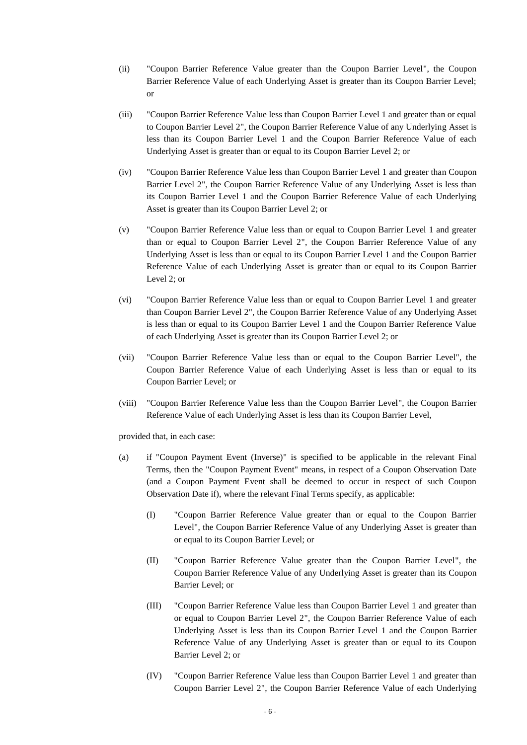- (ii) "Coupon Barrier Reference Value greater than the Coupon Barrier Level", the Coupon Barrier Reference Value of each Underlying Asset is greater than its Coupon Barrier Level; or
- (iii) "Coupon Barrier Reference Value less than Coupon Barrier Level 1 and greater than or equal to Coupon Barrier Level 2", the Coupon Barrier Reference Value of any Underlying Asset is less than its Coupon Barrier Level 1 and the Coupon Barrier Reference Value of each Underlying Asset is greater than or equal to its Coupon Barrier Level 2; or
- (iv) "Coupon Barrier Reference Value less than Coupon Barrier Level 1 and greater than Coupon Barrier Level 2", the Coupon Barrier Reference Value of any Underlying Asset is less than its Coupon Barrier Level 1 and the Coupon Barrier Reference Value of each Underlying Asset is greater than its Coupon Barrier Level 2; or
- (v) "Coupon Barrier Reference Value less than or equal to Coupon Barrier Level 1 and greater than or equal to Coupon Barrier Level 2", the Coupon Barrier Reference Value of any Underlying Asset is less than or equal to its Coupon Barrier Level 1 and the Coupon Barrier Reference Value of each Underlying Asset is greater than or equal to its Coupon Barrier Level 2; or
- (vi) "Coupon Barrier Reference Value less than or equal to Coupon Barrier Level 1 and greater than Coupon Barrier Level 2", the Coupon Barrier Reference Value of any Underlying Asset is less than or equal to its Coupon Barrier Level 1 and the Coupon Barrier Reference Value of each Underlying Asset is greater than its Coupon Barrier Level 2; or
- (vii) "Coupon Barrier Reference Value less than or equal to the Coupon Barrier Level", the Coupon Barrier Reference Value of each Underlying Asset is less than or equal to its Coupon Barrier Level; or
- (viii) "Coupon Barrier Reference Value less than the Coupon Barrier Level", the Coupon Barrier Reference Value of each Underlying Asset is less than its Coupon Barrier Level,

provided that, in each case:

- (a) if "Coupon Payment Event (Inverse)" is specified to be applicable in the relevant Final Terms, then the "Coupon Payment Event" means, in respect of a Coupon Observation Date (and a Coupon Payment Event shall be deemed to occur in respect of such Coupon Observation Date if), where the relevant Final Terms specify, as applicable:
	- (I) "Coupon Barrier Reference Value greater than or equal to the Coupon Barrier Level", the Coupon Barrier Reference Value of any Underlying Asset is greater than or equal to its Coupon Barrier Level; or
	- (II) "Coupon Barrier Reference Value greater than the Coupon Barrier Level", the Coupon Barrier Reference Value of any Underlying Asset is greater than its Coupon Barrier Level; or
	- (III) "Coupon Barrier Reference Value less than Coupon Barrier Level 1 and greater than or equal to Coupon Barrier Level 2", the Coupon Barrier Reference Value of each Underlying Asset is less than its Coupon Barrier Level 1 and the Coupon Barrier Reference Value of any Underlying Asset is greater than or equal to its Coupon Barrier Level 2; or
	- (IV) "Coupon Barrier Reference Value less than Coupon Barrier Level 1 and greater than Coupon Barrier Level 2", the Coupon Barrier Reference Value of each Underlying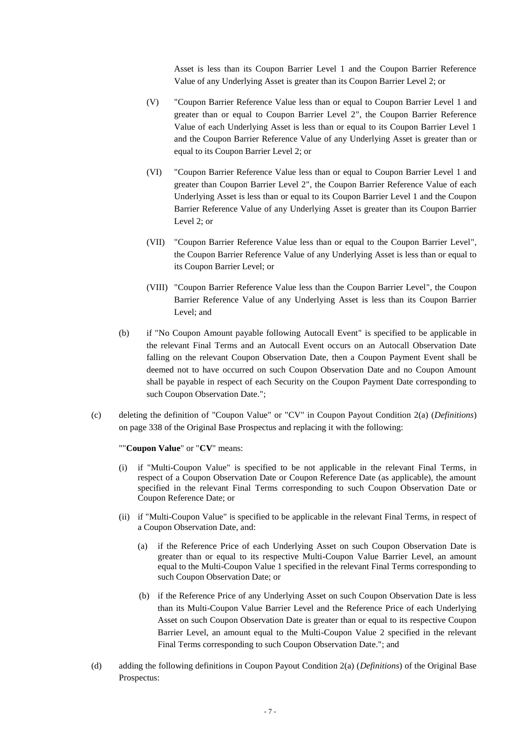Asset is less than its Coupon Barrier Level 1 and the Coupon Barrier Reference Value of any Underlying Asset is greater than its Coupon Barrier Level 2; or

- (V) "Coupon Barrier Reference Value less than or equal to Coupon Barrier Level 1 and greater than or equal to Coupon Barrier Level 2", the Coupon Barrier Reference Value of each Underlying Asset is less than or equal to its Coupon Barrier Level 1 and the Coupon Barrier Reference Value of any Underlying Asset is greater than or equal to its Coupon Barrier Level 2; or
- (VI) "Coupon Barrier Reference Value less than or equal to Coupon Barrier Level 1 and greater than Coupon Barrier Level 2", the Coupon Barrier Reference Value of each Underlying Asset is less than or equal to its Coupon Barrier Level 1 and the Coupon Barrier Reference Value of any Underlying Asset is greater than its Coupon Barrier Level 2; or
- (VII) "Coupon Barrier Reference Value less than or equal to the Coupon Barrier Level", the Coupon Barrier Reference Value of any Underlying Asset is less than or equal to its Coupon Barrier Level; or
- (VIII) "Coupon Barrier Reference Value less than the Coupon Barrier Level", the Coupon Barrier Reference Value of any Underlying Asset is less than its Coupon Barrier Level; and
- (b) if "No Coupon Amount payable following Autocall Event" is specified to be applicable in the relevant Final Terms and an Autocall Event occurs on an Autocall Observation Date falling on the relevant Coupon Observation Date, then a Coupon Payment Event shall be deemed not to have occurred on such Coupon Observation Date and no Coupon Amount shall be payable in respect of each Security on the Coupon Payment Date corresponding to such Coupon Observation Date.";
- (c) deleting the definition of "Coupon Value" or "CV" in Coupon Payout Condition 2(a) (*Definitions*) on page 338 of the Original Base Prospectus and replacing it with the following:

#### ""**Coupon Value**" or "**CV**" means:

- (i) if "Multi-Coupon Value" is specified to be not applicable in the relevant Final Terms, in respect of a Coupon Observation Date or Coupon Reference Date (as applicable), the amount specified in the relevant Final Terms corresponding to such Coupon Observation Date or Coupon Reference Date; or
- (ii) if "Multi-Coupon Value" is specified to be applicable in the relevant Final Terms, in respect of a Coupon Observation Date, and:
	- (a) if the Reference Price of each Underlying Asset on such Coupon Observation Date is greater than or equal to its respective Multi-Coupon Value Barrier Level, an amount equal to the Multi-Coupon Value 1 specified in the relevant Final Terms corresponding to such Coupon Observation Date; or
	- (b) if the Reference Price of any Underlying Asset on such Coupon Observation Date is less than its Multi-Coupon Value Barrier Level and the Reference Price of each Underlying Asset on such Coupon Observation Date is greater than or equal to its respective Coupon Barrier Level, an amount equal to the Multi-Coupon Value 2 specified in the relevant Final Terms corresponding to such Coupon Observation Date."; and
- (d) adding the following definitions in Coupon Payout Condition 2(a) (*Definitions*) of the Original Base Prospectus: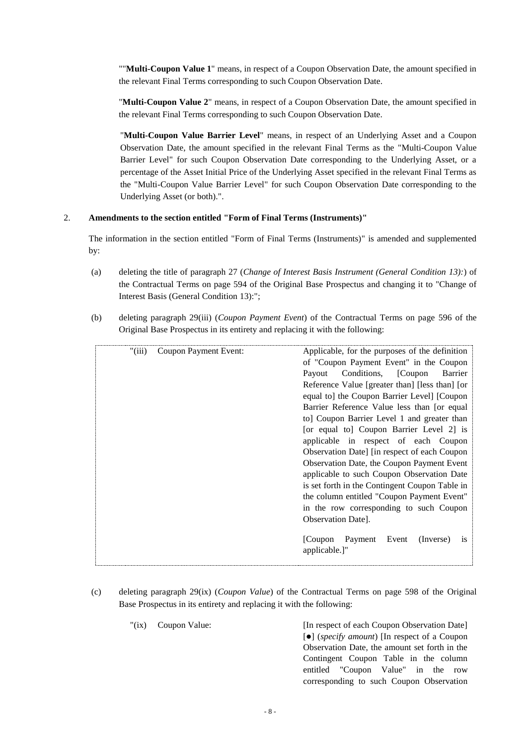""**Multi-Coupon Value 1**" means, in respect of a Coupon Observation Date, the amount specified in the relevant Final Terms corresponding to such Coupon Observation Date.

"**Multi-Coupon Value 2**" means, in respect of a Coupon Observation Date, the amount specified in the relevant Final Terms corresponding to such Coupon Observation Date.

"**Multi-Coupon Value Barrier Level**" means, in respect of an Underlying Asset and a Coupon Observation Date, the amount specified in the relevant Final Terms as the "Multi-Coupon Value Barrier Level" for such Coupon Observation Date corresponding to the Underlying Asset, or a percentage of the Asset Initial Price of the Underlying Asset specified in the relevant Final Terms as the "Multi-Coupon Value Barrier Level" for such Coupon Observation Date corresponding to the Underlying Asset (or both).".

## 2. **Amendments to the section entitled "Form of Final Terms (Instruments)"**

The information in the section entitled "Form of Final Terms (Instruments)" is amended and supplemented by:

- (a) deleting the title of paragraph 27 (*Change of Interest Basis Instrument (General Condition 13):*) of the Contractual Terms on page 594 of the Original Base Prospectus and changing it to "Change of Interest Basis (General Condition 13):";
- (b) deleting paragraph 29(iii) (*Coupon Payment Event*) of the Contractual Terms on page 596 of the Original Base Prospectus in its entirety and replacing it with the following:

| Payout                |                                            |                       | Barrier                                                                                                                                                                                                                                                                                                                                                                                                                                                                                                                                                                                                                                                                                    |
|-----------------------|--------------------------------------------|-----------------------|--------------------------------------------------------------------------------------------------------------------------------------------------------------------------------------------------------------------------------------------------------------------------------------------------------------------------------------------------------------------------------------------------------------------------------------------------------------------------------------------------------------------------------------------------------------------------------------------------------------------------------------------------------------------------------------------|
|                       |                                            |                       |                                                                                                                                                                                                                                                                                                                                                                                                                                                                                                                                                                                                                                                                                            |
|                       |                                            |                       |                                                                                                                                                                                                                                                                                                                                                                                                                                                                                                                                                                                                                                                                                            |
|                       |                                            |                       |                                                                                                                                                                                                                                                                                                                                                                                                                                                                                                                                                                                                                                                                                            |
|                       |                                            |                       |                                                                                                                                                                                                                                                                                                                                                                                                                                                                                                                                                                                                                                                                                            |
|                       |                                            |                       |                                                                                                                                                                                                                                                                                                                                                                                                                                                                                                                                                                                                                                                                                            |
|                       |                                            |                       |                                                                                                                                                                                                                                                                                                                                                                                                                                                                                                                                                                                                                                                                                            |
|                       |                                            |                       |                                                                                                                                                                                                                                                                                                                                                                                                                                                                                                                                                                                                                                                                                            |
|                       |                                            |                       |                                                                                                                                                                                                                                                                                                                                                                                                                                                                                                                                                                                                                                                                                            |
|                       |                                            |                       |                                                                                                                                                                                                                                                                                                                                                                                                                                                                                                                                                                                                                                                                                            |
|                       |                                            |                       |                                                                                                                                                                                                                                                                                                                                                                                                                                                                                                                                                                                                                                                                                            |
|                       |                                            |                       |                                                                                                                                                                                                                                                                                                                                                                                                                                                                                                                                                                                                                                                                                            |
|                       |                                            |                       |                                                                                                                                                                                                                                                                                                                                                                                                                                                                                                                                                                                                                                                                                            |
|                       |                                            |                       |                                                                                                                                                                                                                                                                                                                                                                                                                                                                                                                                                                                                                                                                                            |
|                       |                                            | (Inverse)             | <sup>1</sup> S                                                                                                                                                                                                                                                                                                                                                                                                                                                                                                                                                                                                                                                                             |
| Coupon Payment Event: | <b>Observation Datel.</b><br>applicable.]" | [Coupon Payment Event | Applicable, for the purposes of the definition<br>of "Coupon Payment Event" in the Coupon<br>Conditions, [Coupon]<br>Reference Value [greater than] [less than] [or<br>equal to] the Coupon Barrier Level] [Coupon<br>Barrier Reference Value less than for equal<br>to Coupon Barrier Level 1 and greater than<br>[or equal to] Coupon Barrier Level 2] is<br>applicable in respect of each Coupon<br>Observation Date] [in respect of each Coupon<br>Observation Date, the Coupon Payment Event<br>applicable to such Coupon Observation Date<br>is set forth in the Contingent Coupon Table in<br>the column entitled "Coupon Payment Event"<br>in the row corresponding to such Coupon |

- (c) deleting paragraph 29(ix) (*Coupon Value*) of the Contractual Terms on page 598 of the Original Base Prospectus in its entirety and replacing it with the following:
	- "(ix) Coupon Value: [In respect of each Coupon Observation Date] [⚫] (*specify amount*) [In respect of a Coupon Observation Date, the amount set forth in the Contingent Coupon Table in the column entitled "Coupon Value" in the row

corresponding to such Coupon Observation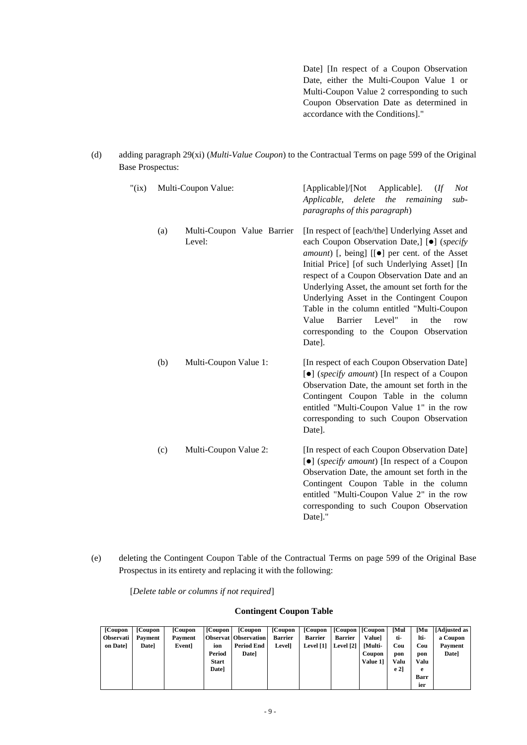Date] [In respect of a Coupon Observation Date, either the Multi-Coupon Value 1 or Multi-Coupon Value 2 corresponding to such Coupon Observation Date as determined in accordance with the Conditions]."

(d) adding paragraph 29(xi) (*Multi-Value Coupon*) to the Contractual Terms on page 599 of the Original Base Prospectus:

| " $(ix)$ |     | Multi-Coupon Value:                  | [Applicable]/[Not<br>Applicable].<br><b>Not</b><br>(<br>Applicable, delete<br>the remaining<br>$sub-$<br>paragraphs of this paragraph)                                                                                                                                                                                                                                                                                                                                                                                 |  |  |  |  |
|----------|-----|--------------------------------------|------------------------------------------------------------------------------------------------------------------------------------------------------------------------------------------------------------------------------------------------------------------------------------------------------------------------------------------------------------------------------------------------------------------------------------------------------------------------------------------------------------------------|--|--|--|--|
|          | (a) | Multi-Coupon Value Barrier<br>Level: | [In respect of [each/the] Underlying Asset and<br>each Coupon Observation Date,] [ $\bullet$ ] (specify<br>amount) [, being] [[ $\bullet$ ] per cent. of the Asset<br>Initial Price] [of such Underlying Asset] [In<br>respect of a Coupon Observation Date and an<br>Underlying Asset, the amount set forth for the<br>Underlying Asset in the Contingent Coupon<br>Table in the column entitled "Multi-Coupon<br>Level"<br>Barrier<br>Value<br>in<br>the<br>row<br>corresponding to the Coupon Observation<br>Date]. |  |  |  |  |
|          | (b) | Multi-Coupon Value 1:                | [In respect of each Coupon Observation Date]<br>$\lceil \bullet \rceil$ (specify amount) [In respect of a Coupon<br>Observation Date, the amount set forth in the<br>Contingent Coupon Table in the column<br>entitled "Multi-Coupon Value 1" in the row<br>corresponding to such Coupon Observation<br>Date].                                                                                                                                                                                                         |  |  |  |  |
|          | (c) | Multi-Coupon Value 2:                | [In respect of each Coupon Observation Date]<br>[ $\bullet$ ] (specify amount) [In respect of a Coupon<br>Observation Date, the amount set forth in the<br>Contingent Coupon Table in the column<br>entitled "Multi-Coupon Value 2" in the row<br>corresponding to such Coupon Observation<br>Date]."                                                                                                                                                                                                                  |  |  |  |  |

(e) deleting the Contingent Coupon Table of the Contractual Terms on page 599 of the Original Base Prospectus in its entirety and replacing it with the following:

[*Delete table or columns if not required*]

#### **Contingent Coupon Table**

| [Coupon]         | [Coupon] | [Coupon] | [Coupon]     | [Coupon]                    | [Coupon]       | [Coupon]       | [Coupon] [Coupon] |               | Mul  | <b>Mu</b> | [Adjusted as] |
|------------------|----------|----------|--------------|-----------------------------|----------------|----------------|-------------------|---------------|------|-----------|---------------|
|                  |          |          |              |                             |                |                |                   |               |      |           |               |
| <b>Observati</b> | Payment  | Payment  |              | <b>Observat Observation</b> | <b>Barrier</b> | <b>Barrier</b> | <b>Barrier</b>    | Valuel        | ti-  | lti-      | a Coupon      |
| on Datel         | Datel    | Eventl   | ion          | <b>Period End</b>           | Level]         | Level [1]      | Level [2] [Multi- |               | Cou  | Cou       | Payment       |
|                  |          |          | Period       | Datel                       |                |                |                   | <b>Coupon</b> | pon  | pon       | Date]         |
|                  |          |          | <b>Start</b> |                             |                |                |                   | Value 11      | Valu | Valu      |               |
|                  |          |          | Datel        |                             |                |                |                   |               | e 21 | е         |               |
|                  |          |          |              |                             |                |                |                   |               |      | Barr      |               |
|                  |          |          |              |                             |                |                |                   |               |      | ier       |               |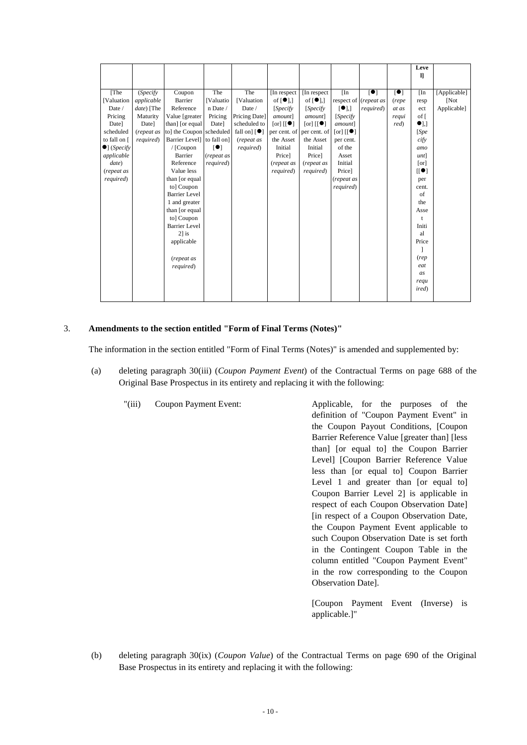|                              |            |                          |                 |                                  |                                                   |                                                         |                         |                       |                      | Leve                 |              |
|------------------------------|------------|--------------------------|-----------------|----------------------------------|---------------------------------------------------|---------------------------------------------------------|-------------------------|-----------------------|----------------------|----------------------|--------------|
|                              |            |                          |                 |                                  |                                                   |                                                         |                         |                       |                      | $\mathbf{I}$         |              |
| [The                         | (Specify   | Coupon                   | The             | The                              | In respect                                        | In respect                                              | [In]                    | $\blacksquare$        | $\mathbf{[}\bullet]$ | [In]                 | [Applicable] |
| <b>[Valuation</b>            | applicable | Barrier                  | <b>Valuatio</b> | <b>[Valuation</b>                | of $\lceil \bullet \rceil$ .]                     | of $\lceil \bullet \rceil$ ,                            |                         | respect of (repeat as | (repe                | resp                 | <b>Not</b>   |
| Date /                       | date) [The | Reference                | n Date /        | Date /                           | [Specify]                                         | [Specify]                                               | $\lceil \bullet \rceil$ | required)             | at as                | ect                  | Applicable]  |
| Pricing                      | Maturity   | Value [greater]          | Pricing         | Pricing Date]                    | amount]                                           | amount]                                                 | [Specify]               |                       | requi                | of [                 |              |
| Date]                        | Date]      | than] [or equal]         | Date]           | scheduled to                     | $\lceil \text{or} \rceil$ $\lceil \bullet \rceil$ | $\lceil \text{or} \rceil$ $\lceil \cdot \bullet \rceil$ | amount]                 |                       | red)                 | $\bullet$            |              |
| scheduled                    | (repeat as | to] the Coupon scheduled |                 | fall on] $\lceil \bullet \rceil$ | per cent. of per cent. of                         |                                                         | [or] [[ <b>•</b> ]      |                       |                      | [Spec]               |              |
| to fall on [                 | required)  | Barrier Level to fall on |                 | (repeat as                       | the Asset                                         | the Asset                                               | per cent.               |                       |                      | cify                 |              |
| $\bullet$ ] ( <i>Specify</i> |            | / [Coupon                | $\blacksquare$  | required)                        | Initial                                           | Initial                                                 | of the                  |                       |                      | amo                  |              |
| applicable                   |            | Barrier                  | (repeat as      |                                  | Price]                                            | Price]                                                  | Asset                   |                       |                      | unt                  |              |
| date)                        |            | Reference                | required)       |                                  | (repeat as                                        | (repeat as                                              | Initial                 |                       |                      | [or]                 |              |
| (repeat as                   |            | Value less               |                 |                                  | required)                                         | required)                                               | Price]                  |                       |                      | [[•]                 |              |
| required)                    |            | than [or equal           |                 |                                  |                                                   |                                                         | (repeat as              |                       |                      | per                  |              |
|                              |            | to] Coupon               |                 |                                  |                                                   |                                                         | required)               |                       |                      | cent.                |              |
|                              |            | <b>Barrier Level</b>     |                 |                                  |                                                   |                                                         |                         |                       |                      | of                   |              |
|                              |            | 1 and greater            |                 |                                  |                                                   |                                                         |                         |                       |                      | the                  |              |
|                              |            | than [or equal           |                 |                                  |                                                   |                                                         |                         |                       |                      | Asse                 |              |
|                              |            | to] Coupon               |                 |                                  |                                                   |                                                         |                         |                       |                      | $\ddot{\phantom{1}}$ |              |
|                              |            | <b>Barrier Level</b>     |                 |                                  |                                                   |                                                         |                         |                       |                      | Initi                |              |
|                              |            | $21$ is                  |                 |                                  |                                                   |                                                         |                         |                       |                      | al                   |              |
|                              |            | applicable               |                 |                                  |                                                   |                                                         |                         |                       |                      | Price                |              |
|                              |            |                          |                 |                                  |                                                   |                                                         |                         |                       |                      |                      |              |
|                              |            | (repeat as               |                 |                                  |                                                   |                                                         |                         |                       |                      | (rep                 |              |
|                              |            | required)                |                 |                                  |                                                   |                                                         |                         |                       |                      | eat                  |              |
|                              |            |                          |                 |                                  |                                                   |                                                         |                         |                       |                      | as                   |              |
|                              |            |                          |                 |                                  |                                                   |                                                         |                         |                       |                      | requ                 |              |
|                              |            |                          |                 |                                  |                                                   |                                                         |                         |                       |                      | ired)                |              |
|                              |            |                          |                 |                                  |                                                   |                                                         |                         |                       |                      |                      |              |

#### 3. **Amendments to the section entitled "Form of Final Terms (Notes)"**

The information in the section entitled "Form of Final Terms (Notes)" is amended and supplemented by:

- (a) deleting paragraph 30(iii) (*Coupon Payment Event*) of the Contractual Terms on page 688 of the Original Base Prospectus in its entirety and replacing it with the following:
	- "(iii) Coupon Payment Event: Applicable, for the purposes of the definition of "Coupon Payment Event" in the Coupon Payout Conditions, [Coupon Barrier Reference Value [greater than] [less than] [or equal to] the Coupon Barrier Level] [Coupon Barrier Reference Value less than [or equal to] Coupon Barrier Level 1 and greater than [or equal to] Coupon Barrier Level 2] is applicable in respect of each Coupon Observation Date] [in respect of a Coupon Observation Date, the Coupon Payment Event applicable to such Coupon Observation Date is set forth in the Contingent Coupon Table in the column entitled "Coupon Payment Event" in the row corresponding to the Coupon Observation Date].
		- [Coupon Payment Event (Inverse) is applicable.]"
- (b) deleting paragraph 30(ix) (*Coupon Value*) of the Contractual Terms on page 690 of the Original Base Prospectus in its entirety and replacing it with the following: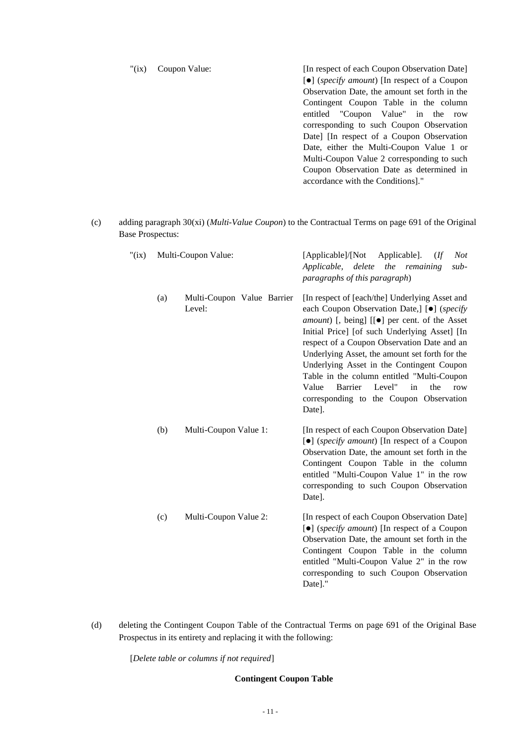"(ix) Coupon Value: [In respect of each Coupon Observation Date] [⚫] (*specify amount*) [In respect of a Coupon Observation Date, the amount set forth in the Contingent Coupon Table in the column entitled "Coupon Value" in the row corresponding to such Coupon Observation Date] [In respect of a Coupon Observation Date, either the Multi-Coupon Value 1 or Multi-Coupon Value 2 corresponding to such Coupon Observation Date as determined in accordance with the Conditions]."

(c) adding paragraph 30(xi) (*Multi-Value Coupon*) to the Contractual Terms on page 691 of the Original Base Prospectus:

| " $(ix)$ | Multi-Coupon Value: |                                      | [Applicable]/[Not]<br>Applicable].<br><b>Not</b><br>$($ ff<br>the remaining<br>Applicable, delete<br>sub-<br>paragraphs of this paragraph)                                                                                                                                                                                                                                                                                                                                                                                            |
|----------|---------------------|--------------------------------------|---------------------------------------------------------------------------------------------------------------------------------------------------------------------------------------------------------------------------------------------------------------------------------------------------------------------------------------------------------------------------------------------------------------------------------------------------------------------------------------------------------------------------------------|
|          | (a)                 | Multi-Coupon Value Barrier<br>Level: | [In respect of [each/the] Underlying Asset and<br>each Coupon Observation Date,] [ $\bullet$ ] (specify<br><i>amount</i> ) [, being] [[ $\bullet$ ] per cent. of the Asset<br>Initial Price] [of such Underlying Asset] [In<br>respect of a Coupon Observation Date and an<br>Underlying Asset, the amount set forth for the<br>Underlying Asset in the Contingent Coupon<br>Table in the column entitled "Multi-Coupon<br><b>Barrier</b><br>Level"<br>Value<br>the<br>in<br>row<br>corresponding to the Coupon Observation<br>Date]. |
|          | (b)                 | Multi-Coupon Value 1:                | [In respect of each Coupon Observation Date]<br>[•] (specify amount) [In respect of a Coupon<br>Observation Date, the amount set forth in the<br>Contingent Coupon Table in the column<br>entitled "Multi-Coupon Value 1" in the row<br>corresponding to such Coupon Observation<br>Date].                                                                                                                                                                                                                                            |
|          | (c)                 | Multi-Coupon Value 2:                | [In respect of each Coupon Observation Date]<br>[•] (specify amount) [In respect of a Coupon<br>Observation Date, the amount set forth in the<br>Contingent Coupon Table in the column<br>entitled "Multi-Coupon Value 2" in the row<br>corresponding to such Coupon Observation<br>Date]."                                                                                                                                                                                                                                           |

(d) deleting the Contingent Coupon Table of the Contractual Terms on page 691 of the Original Base Prospectus in its entirety and replacing it with the following:

[*Delete table or columns if not required*]

## **Contingent Coupon Table**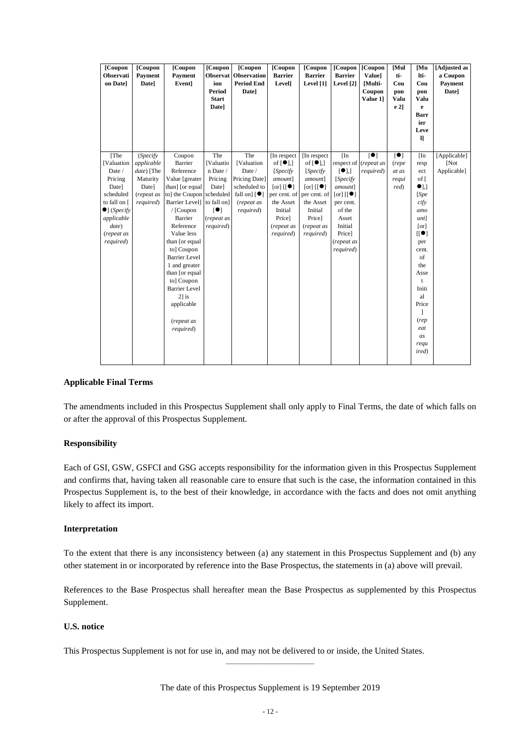| [Coupon<br>Observati<br>on Datel                                                                                                                               | [Coupon<br>Payment<br><b>Date</b> ]                                      | [Coupon<br>Payment<br>Event]                                                                                                                                                                                                                                                                 | [Coupon<br><b>Observat</b><br>ion<br><b>Period</b><br><b>Start</b><br>Date]                                | [Coupon<br><b>Observation</b><br><b>Period End</b><br>Date]                                                                | [Coupon<br><b>Barrier</b><br>Level]                                                                                                                                                    | [Coupon<br><b>Barrier</b><br>Level [1]                                                                                                                                                 | [Coupon<br><b>Barrier</b><br>Level [2]                                                                                                                           | [Coupon<br><b>Value</b> ]<br>[Multi-<br>Coupon<br>Value 1] | [Mul<br>ti-<br>Cou<br>pon<br>Valu<br>$e2$ ] | [Mu<br>lti-<br>Cou<br>pon<br>Valu<br>e<br>Barr<br>ier<br>Leve<br>$\mathbf{I}$                                                                                     | [Adjusted as<br>a Coupon<br><b>Payment</b><br>Date] |
|----------------------------------------------------------------------------------------------------------------------------------------------------------------|--------------------------------------------------------------------------|----------------------------------------------------------------------------------------------------------------------------------------------------------------------------------------------------------------------------------------------------------------------------------------------|------------------------------------------------------------------------------------------------------------|----------------------------------------------------------------------------------------------------------------------------|----------------------------------------------------------------------------------------------------------------------------------------------------------------------------------------|----------------------------------------------------------------------------------------------------------------------------------------------------------------------------------------|------------------------------------------------------------------------------------------------------------------------------------------------------------------|------------------------------------------------------------|---------------------------------------------|-------------------------------------------------------------------------------------------------------------------------------------------------------------------|-----------------------------------------------------|
| <b>[Valuation</b><br>Date /<br>Pricing<br>Date]<br>scheduled<br>to fall on [<br>$\bullet$ ] ( <i>Specify</i><br>applicable<br>date)<br>(repeat as<br>required) | applicable<br>date) [The<br>Maturity<br>Date]<br>(repeat as<br>required) | Barrier<br>Reference<br>Value [greater<br>than] [or equal<br>to] the Coupon<br>Barrier Levell to fall on<br>/ [Coupon<br>Barrier<br>Reference<br>Value less<br>than [or equal<br>to] Coupon<br><b>Barrier Level</b><br>1 and greater<br>than [or equal<br>to] Coupon<br><b>Barrier Level</b> | <b>[Valuatio</b><br>n Date /<br>Pricing<br>Date]<br>scheduled<br>$\blacksquare$<br>(repeat as<br>required) | <b>[Valuation</b><br>Date /<br>Pricing Date]<br>scheduled to<br>fall on $\lceil \bullet \rceil$<br>(repeat as<br>required) | of $\lceil \bullet \rceil$ ,<br>[Specify]<br>amount]<br>$\lceil \text{or} \rceil$ $\lceil \bullet \rceil$<br>per cent. of<br>the Asset<br>Initial<br>Price]<br>(repeat as<br>required) | of $\lceil \bullet \rceil$ ,<br>[Specify]<br>amount]<br>$\lceil \text{or} \rceil$ $\lceil \bullet \rceil$<br>per cent. of<br>the Asset<br>Initial<br>Price]<br>(repeat as<br>required) | [•]<br>[Specify]<br>amount]<br>$\lceil \text{or} \rceil$ $\lceil \bullet \rceil$<br>per cent.<br>of the<br>Asset<br>Initial<br>Price]<br>(repeat as<br>required) | respect of (repeat as<br>required)                         | (repe<br>at as<br>requi<br>red)             | resp<br>ect<br>of [<br>$\bullet$ <sub>1,1</sub><br>[Spec]<br>cify<br>amo<br>$unt$ ]<br>[or]<br>[[•]<br>per<br>cent.<br>of<br>the<br>Asse<br>$\mathbf{t}$<br>Initi | $\sqrt{\text{Not}}$<br>Applicable]                  |
|                                                                                                                                                                |                                                                          | $2$ ] is<br>applicable<br>(repeat as<br>required)                                                                                                                                                                                                                                            |                                                                                                            |                                                                                                                            |                                                                                                                                                                                        |                                                                                                                                                                                        |                                                                                                                                                                  |                                                            |                                             | a1<br>Price<br>(rep)<br>eat<br>as<br>requ<br><i>ired</i> )                                                                                                        |                                                     |

## **Applicable Final Terms**

The amendments included in this Prospectus Supplement shall only apply to Final Terms, the date of which falls on or after the approval of this Prospectus Supplement.

#### **Responsibility**

Each of GSI, GSW, GSFCI and GSG accepts responsibility for the information given in this Prospectus Supplement and confirms that, having taken all reasonable care to ensure that such is the case, the information contained in this Prospectus Supplement is, to the best of their knowledge, in accordance with the facts and does not omit anything likely to affect its import.

#### **Interpretation**

To the extent that there is any inconsistency between (a) any statement in this Prospectus Supplement and (b) any other statement in or incorporated by reference into the Base Prospectus, the statements in (a) above will prevail.

References to the Base Prospectus shall hereafter mean the Base Prospectus as supplemented by this Prospectus Supplement.

# **U.S. notice**

This Prospectus Supplement is not for use in, and may not be delivered to or inside, the United States.

The date of this Prospectus Supplement is 19 September 2019

————————————————————